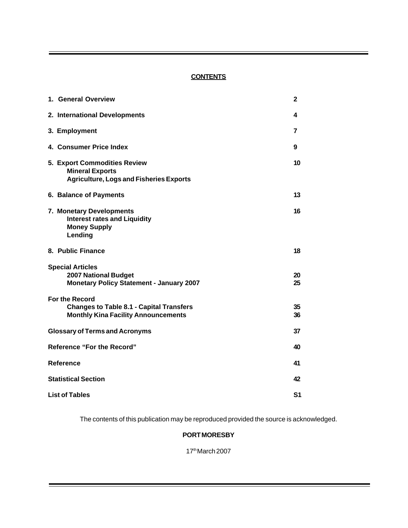# **CONTENTS**

| 1. General Overview                                                                                             | 2              |
|-----------------------------------------------------------------------------------------------------------------|----------------|
| 2. International Developments                                                                                   | 4              |
| 3. Employment                                                                                                   | 7              |
| 4. Consumer Price Index                                                                                         | 9              |
| <b>5. Export Commodities Review</b><br><b>Mineral Exports</b><br><b>Agriculture, Logs and Fisheries Exports</b> | 10             |
| 6. Balance of Payments                                                                                          | 13             |
| 7. Monetary Developments<br><b>Interest rates and Liquidity</b><br><b>Money Supply</b><br>Lending               | 16             |
| 8. Public Finance                                                                                               | 18             |
| <b>Special Articles</b><br><b>2007 National Budget</b><br><b>Monetary Policy Statement - January 2007</b>       | 20<br>25       |
| For the Record<br><b>Changes to Table 8.1 - Capital Transfers</b><br><b>Monthly Kina Facility Announcements</b> | 35<br>36       |
| <b>Glossary of Terms and Acronyms</b>                                                                           | 37             |
| <b>Reference "For the Record"</b>                                                                               | 40             |
| <b>Reference</b>                                                                                                | 41             |
| <b>Statistical Section</b>                                                                                      | 42             |
| <b>List of Tables</b>                                                                                           | S <sub>1</sub> |

The contents of this publication may be reproduced provided the source is acknowledged.

## **PORT MORESBY**

17th March 2007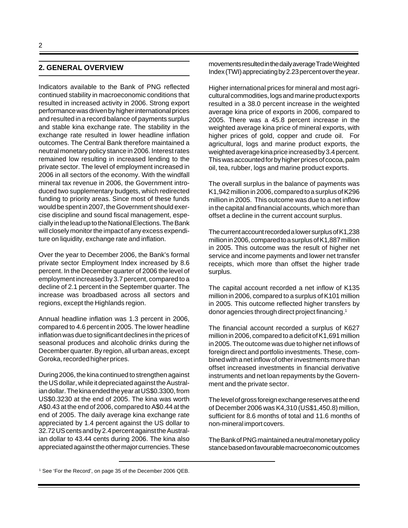## **2. GENERAL OVERVIEW**

Indicators available to the Bank of PNG reflected continued stability in macroeconomic conditions that resulted in increased activity in 2006. Strong export performance was driven by higher international prices and resulted in a record balance of payments surplus and stable kina exchange rate. The stability in the exchange rate resulted in lower headline inflation outcomes. The Central Bank therefore maintained a neutral monetary policy stance in 2006. Interest rates remained low resulting in increased lending to the private sector. The level of employment increased in 2006 in all sectors of the economy. With the windfall mineral tax revenue in 2006, the Government introduced two supplementary budgets, which redirected funding to priority areas. Since most of these funds would be spent in 2007, the Government should exercise discipline and sound fiscal management, especially in the lead up to the National Elections. The Bank will closely monitor the impact of any excess expenditure on liquidity, exchange rate and inflation.

Over the year to December 2006, the Bank's formal private sector Employment Index increased by 8.6 percent. In the December quarter of 2006 the level of employment increased by 3.7 percent, compared to a decline of 2.1 percent in the September quarter. The increase was broadbased across all sectors and regions, except the Highlands region.

Annual headline inflation was 1.3 percent in 2006, compared to 4.6 percent in 2005. The lower headline inflation was due to significant declines in the prices of seasonal produces and alcoholic drinks during the December quarter. By region, all urban areas, except Goroka, recorded higher prices.

During 2006, the kina continued to strengthen against the US dollar, while it depreciated against the Australian dollar. The kina ended the year at US\$0.3300, from US\$0.3230 at the end of 2005. The kina was worth A\$0.43 at the end of 2006, compared to A\$0.44 at the end of 2005. The daily average kina exchange rate appreciated by 1.4 percent against the US dollar to 32.72 US cents and by 2.4 percent against the Australian dollar to 43.44 cents during 2006. The kina also appreciated against the other major currencies. These movements resulted in the daily average Trade Weighted Index (TWI) appreciating by 2.23 percent over the year.

Higher international prices for mineral and most agricultural commodities, logs and marine product exports resulted in a 38.0 percent increase in the weighted average kina price of exports in 2006, compared to 2005. There was a 45.8 percent increase in the weighted average kina price of mineral exports, with higher prices of gold, copper and crude oil. For agricultural, logs and marine product exports, the weighted average kina price increased by 3.4 percent. This was accounted for by higher prices of cocoa, palm oil, tea, rubber, logs and marine product exports.

The overall surplus in the balance of payments was K1,942 million in 2006, compared to a surplus of K296 million in 2005. This outcome was due to a net inflow in the capital and financial accounts, which more than offset a decline in the current account surplus.

The current account recorded a lower surplus of K1,238 million in 2006, compared to a surplus of K1,887 million in 2005. This outcome was the result of higher net service and income payments and lower net transfer receipts, which more than offset the higher trade surplus.

The capital account recorded a net inflow of K135 million in 2006, compared to a surplus of K101 million in 2005. This outcome reflected higher transfers by donor agencies through direct project financing.1

The financial account recorded a surplus of K627 million in 2006, compared to a deficit of K1,691 million in 2005. The outcome was due to higher net inflows of foreign direct and portfolio investments. These, combined with a net inflow of other investments more than offset increased investments in financial derivative instruments and net loan repayments by the Government and the private sector.

The level of gross foreign exchange reserves at the end of December 2006 was K4,310 (US\$1,450.8) million, sufficient for 8.6 months of total and 11.6 months of non-mineral import covers.

The Bank of PNG maintained a neutral monetary policy stance based on favourable macroeconomic outcomes

<sup>&</sup>lt;sup>1</sup> See 'For the Record', on page 35 of the December 2006 QEB.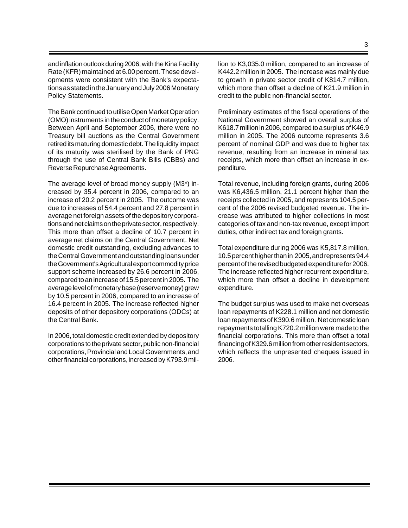and inflation outlook during 2006, with the Kina Facility Rate (KFR) maintained at 6.00 percent. These developments were consistent with the Bank's expectations as stated in the January and July 2006 Monetary Policy Statements.

The Bank continued to utilise Open Market Operation (OMO) instruments in the conduct of monetary policy. Between April and September 2006, there were no Treasury bill auctions as the Central Government retired its maturing domestic debt. The liquidity impact of its maturity was sterilised by the Bank of PNG through the use of Central Bank Bills (CBBs) and Reverse Repurchase Agreements.

The average level of broad money supply (M3\*) increased by 35.4 percent in 2006, compared to an increase of 20.2 percent in 2005. The outcome was due to increases of 54.4 percent and 27.8 percent in average net foreign assets of the depository corporations and net claims on the private sector, respectively. This more than offset a decline of 10.7 percent in average net claims on the Central Government. Net domestic credit outstanding, excluding advances to the Central Government and outstanding loans under the Government's Agricultural export commodity price support scheme increased by 26.6 percent in 2006, compared to an increase of 15.5 percent in 2005. The average level of monetary base (reserve money) grew by 10.5 percent in 2006, compared to an increase of 16.4 percent in 2005. The increase reflected higher deposits of other depository corporations (ODCs) at the Central Bank.

In 2006, total domestic credit extended by depository corporations to the private sector, public non-financial corporations, Provincial and Local Governments, and other financial corporations, increased by K793.9 million to K3,035.0 million, compared to an increase of K442.2 million in 2005. The increase was mainly due to growth in private sector credit of K814.7 million, which more than offset a decline of K21.9 million in credit to the public non-financial sector.

Preliminary estimates of the fiscal operations of the National Government showed an overall surplus of K618.7 million in 2006, compared to a surplus of K46.9 million in 2005. The 2006 outcome represents 3.6 percent of nominal GDP and was due to higher tax revenue, resulting from an increase in mineral tax receipts, which more than offset an increase in expenditure.

Total revenue, including foreign grants, during 2006 was K6,436.5 million, 21.1 percent higher than the receipts collected in 2005, and represents 104.5 percent of the 2006 revised budgeted revenue. The increase was attributed to higher collections in most categories of tax and non-tax revenue, except import duties, other indirect tax and foreign grants.

Total expenditure during 2006 was K5,817.8 million, 10.5 percent higher than in 2005, and represents 94.4 percent of the revised budgeted expenditure for 2006. The increase reflected higher recurrent expenditure, which more than offset a decline in development expenditure.

The budget surplus was used to make net overseas loan repayments of K228.1 million and net domestic loan repayments of K390.6 million. Net domestic loan repayments totalling K720.2 million were made to the financial corporations. This more than offset a total financing of K329.6 million from other resident sectors, which reflects the unpresented cheques issued in 2006.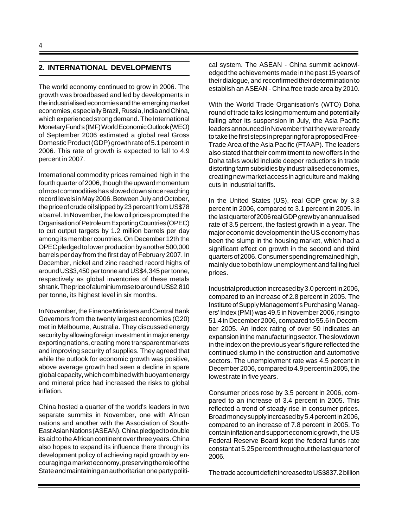### **2. INTERNATIONAL DEVELOPMENTS**

The world economy continued to grow in 2006. The growth was broadbased and led by developments in the industrialised economies and the emerging market economies, especially Brazil, Russia, India and China, which experienced strong demand. The International Monetary Fund's (IMF) World Economic Outlook (WEO) of September 2006 estimated a global real Gross Domestic Product (GDP) growth rate of 5.1 percent in 2006. This rate of growth is expected to fall to 4.9 percent in 2007.

International commodity prices remained high in the fourth quarter of 2006, though the upward momentum of most commodities has slowed down since reaching record levels in May 2006. Between July and October, the price of crude oil slipped by 23 percent from US\$78 a barrel. In November, the low oil prices prompted the Organisation of Petroleum Exporting Countries (OPEC) to cut output targets by 1.2 million barrels per day among its member countries. On December 12th the OPEC pledged to lower production by another 500,000 barrels per day from the first day of February 2007. In December, nickel and zinc reached record highs of around US\$3,450 per tonne and US\$4,345 per tonne, respectively as global inventories of these metals shrank. The price of aluminium rose to around US\$2,810 per tonne, its highest level in six months.

In November, the Finance Ministers and Central Bank Governors from the twenty largest economies (G20) met in Melbourne, Australia. They discussed energy security by allowing foreign investment in major energy exporting nations, creating more transparent markets and improving security of supplies. They agreed that while the outlook for economic growth was positive, above average growth had seen a decline in spare global capacity, which combined with buoyant energy and mineral price had increased the risks to global inflation.

China hosted a quarter of the world's leaders in two separate summits in November, one with African nations and another with the Association of South-East Asian Nations (ASEAN). China pledged to double its aid to the African continent over three years. China also hopes to expand its influence there through its development policy of achieving rapid growth by encouraging a market economy, preserving the role of the State and maintaining an authoritarian one party political system. The ASEAN - China summit acknowledged the achievements made in the past 15 years of their dialogue, and reconfirmed their determination to establish an ASEAN - China free trade area by 2010.

With the World Trade Organisation's (WTO) Doha round of trade talks losing momentum and potentially failing after its suspension in July, the Asia Pacific leaders announced in November that they were ready to take the first steps in preparing for a proposed Free-Trade Area of the Asia Pacific (FTAAP). The leaders also stated that their commitment to new offers in the Doha talks would include deeper reductions in trade distorting farm subsidies by industrialised economies, creating new market access in agriculture and making cuts in industrial tariffs.

In the United States (US), real GDP grew by 3.3 percent in 2006, compared to 3.1 percent in 2005. In the last quarter of 2006 real GDP grew by an annualised rate of 3.5 percent, the fastest growth in a year. The major economic development in the US economy has been the slump in the housing market, which had a significant effect on growth in the second and third quarters of 2006. Consumer spending remained high, mainly due to both low unemployment and falling fuel prices.

Industrial production increased by 3.0 percent in 2006, compared to an increase of 2.8 percent in 2005. The Institute of Supply Management's Purchasing Managers' Index (PMI) was 49.5 in November 2006, rising to 51.4 in December 2006, compared to 55.6 in December 2005. An index rating of over 50 indicates an expansion in the manufacturing sector. The slowdown in the index on the previous year's figure reflected the continued slump in the construction and automotive sectors. The unemployment rate was 4.5 percent in December 2006, compared to 4.9 percent in 2005, the lowest rate in five years.

Consumer prices rose by 3.5 percent in 2006, compared to an increase of 3.4 percent in 2005. This reflected a trend of steady rise in consumer prices. Broad money supply increased by 5.4 percent in 2006, compared to an increase of 7.8 percent in 2005. To contain inflation and support economic growth, the US Federal Reserve Board kept the federal funds rate constant at 5.25 percent throughout the last quarter of 2006.

The trade account deficit increased to US\$837.2 billion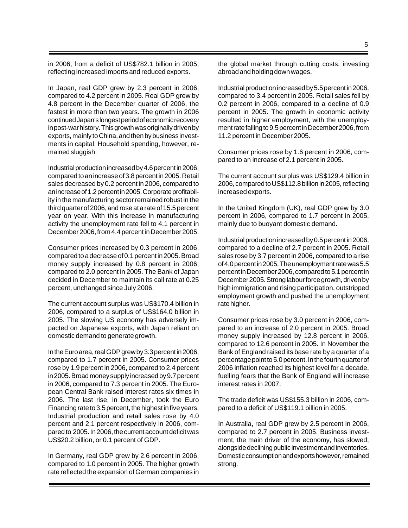in 2006, from a deficit of US\$782.1 billion in 2005, reflecting increased imports and reduced exports.

In Japan, real GDP grew by 2.3 percent in 2006, compared to 4.2 percent in 2005. Real GDP grew by 4.8 percent in the December quarter of 2006, the fastest in more than two years. The growth in 2006 continued Japan's longest period of economic recovery in post-war history. This growth was originally driven by exports, mainly to China, and then by business investments in capital. Household spending, however, remained sluggish.

Industrial production increased by 4.6 percent in 2006, compared to an increase of 3.8 percent in 2005. Retail sales decreased by 0.2 percent in 2006, compared to an increase of 1.2 percent in 2005. Corporate profitability in the manufacturing sector remained robust in the third quarter of 2006, and rose at a rate of 15.5 percent year on year. With this increase in manufacturing activity the unemployment rate fell to 4.1 percent in December 2006, from 4.4 percent in December 2005.

Consumer prices increased by 0.3 percent in 2006, compared to a decrease of 0.1 percent in 2005. Broad money supply increased by 0.8 percent in 2006, compared to 2.0 percent in 2005. The Bank of Japan decided in December to maintain its call rate at 0.25 percent, unchanged since July 2006.

The current account surplus was US\$170.4 billion in 2006, compared to a surplus of US\$164.0 billion in 2005. The slowing US economy has adversely impacted on Japanese exports, with Japan reliant on domestic demand to generate growth.

In the Euro area, real GDP grew by 3.3 percent in 2006, compared to 1.7 percent in 2005. Consumer prices rose by 1.9 percent in 2006, compared to 2.4 percent in 2005. Broad money supply increased by 9.7 percent in 2006, compared to 7.3 percent in 2005. The European Central Bank raised interest rates six times in 2006. The last rise, in December, took the Euro Financing rate to 3.5 percent, the highest in five years. Industrial production and retail sales rose by 4.0 percent and 2.1 percent respectively in 2006, compared to 2005. In 2006, the current account deficit was US\$20.2 billion, or 0.1 percent of GDP.

In Germany, real GDP grew by 2.6 percent in 2006, compared to 1.0 percent in 2005. The higher growth rate reflected the expansion of German companies in the global market through cutting costs, investing abroad and holding down wages.

Industrial production increased by 5.5 percent in 2006, compared to 3.4 percent in 2005. Retail sales fell by 0.2 percent in 2006, compared to a decline of 0.9 percent in 2005. The growth in economic activity resulted in higher employment, with the unemployment rate falling to 9.5 percent in December 2006, from 11.2 percent in December 2005.

Consumer prices rose by 1.6 percent in 2006, compared to an increase of 2.1 percent in 2005.

The current account surplus was US\$129.4 billion in 2006, compared to US\$112.8 billion in 2005, reflecting increased exports.

In the United Kingdom (UK), real GDP grew by 3.0 percent in 2006, compared to 1.7 percent in 2005, mainly due to buoyant domestic demand.

Industrial production increased by 0.5 percent in 2006, compared to a decline of 2.7 percent in 2005. Retail sales rose by 3.7 percent in 2006, compared to a rise of 4.0 percent in 2005. The unemployment rate was 5.5 percent in December 2006, compared to 5.1 percent in December 2005. Strong labour force growth, driven by high immigration and rising participation, outstripped employment growth and pushed the unemployment rate higher.

Consumer prices rose by 3.0 percent in 2006, compared to an increase of 2.0 percent in 2005. Broad money supply increased by 12.8 percent in 2006, compared to 12.6 percent in 2005. In November the Bank of England raised its base rate by a quarter of a percentage point to 5.0 percent. In the fourth quarter of 2006 inflation reached its highest level for a decade, fuelling fears that the Bank of England will increase interest rates in 2007.

The trade deficit was US\$155.3 billion in 2006, compared to a deficit of US\$119.1 billion in 2005.

In Australia, real GDP grew by 2.5 percent in 2006, compared to 2.7 percent in 2005. Business investment, the main driver of the economy, has slowed, alongside declining public investment and inventories. Domestic consumption and exports however, remained strong.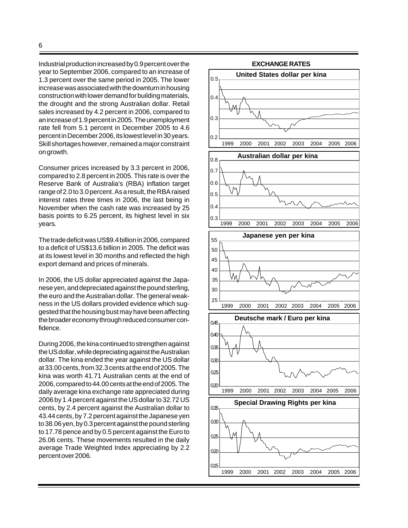Industrial production increased by 0.9 percent over the year to September 2006, compared to an increase of 1.3 percent over the same period in 2005. The lower increase was associated with the downturn in housing construction with lower demand for building materials, the drought and the strong Australian dollar. Retail sales increased by 4.2 percent in 2006, compared to an increase of 1.9 percent in 2005. The unemployment rate fell from 5.1 percent in December 2005 to 4.6 percent in December 2006, its lowest level in 30 years. Skill shortages however, remained a major constraint on growth.

Consumer prices increased by 3.3 percent in 2006, compared to 2.8 percent in 2005. This rate is over the Reserve Bank of Australia's (RBA) inflation target range of 2.0 to 3.0 percent. As a result, the RBA raised interest rates three times in 2006, the last being in November when the cash rate was increased by 25 basis points to 6.25 percent, its highest level in six years.

The trade deficit was US\$9.4 billion in 2006, compared to a deficit of US\$13.6 billion in 2005. The deficit was at its lowest level in 30 months and reflected the high export demand and prices of minerals.

In 2006, the US dollar appreciated against the Japanese yen, and depreciated against the pound sterling, the euro and the Australian dollar. The general weakness in the US dollars provided evidence which suggested that the housing bust may have been affecting the broader economy through reduced consumer confidence.

During 2006, the kina continued to strengthen against the US dollar, while depreciating against the Australian dollar. The kina ended the year against the US dollar at 33.00 cents, from 32.3 cents at the end of 2005. The kina was worth 41.71 Australian cents at the end of 2006, compared to 44.00 cents at the end of 2005. The daily average kina exchange rate appreciated during 2006 by 1.4 percent against the US dollar to 32.72 US cents, by 2.4 percent against the Australian dollar to 43.44 cents, by 7.2 percent against the Japanese yen to 38.06 yen, by 0.3 percent against the pound sterling to 17.78 pence and by 0.5 percent against the Euro to 26.06 cents. These movements resulted in the daily average Trade Weighted Index appreciating by 2.2 percent over 2006.

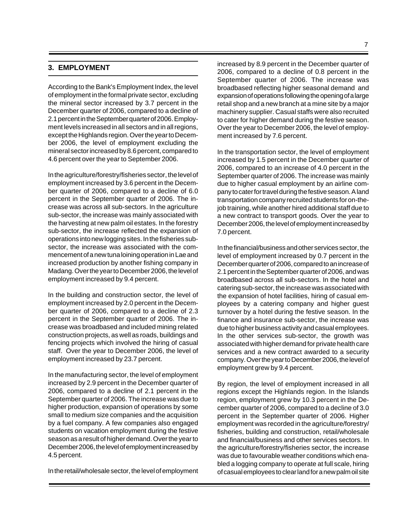### **3. EMPLOYMENT**

According to the Bank's Employment Index, the level of employment in the formal private sector, excluding the mineral sector increased by 3.7 percent in the December quarter of 2006, compared to a decline of 2.1 percent in the September quarter of 2006. Employment levels increased in all sectors and in all regions, except the Highlands region. Over the year to December 2006, the level of employment excluding the mineral sector increased by 8.6 percent, compared to 4.6 percent over the year to September 2006.

In the agriculture/forestry/fisheries sector, the level of employment increased by 3.6 percent in the December quarter of 2006, compared to a decline of 6.0 percent in the September quarter of 2006. The increase was across all sub-sectors. In the agriculture sub-sector, the increase was mainly associated with the harvesting at new palm oil estates. In the forestry sub-sector, the increase reflected the expansion of operations into new logging sites. In the fisheries subsector, the increase was associated with the commencement of a new tuna loining operation in Lae and increased production by another fishing company in Madang. Over the year to December 2006, the level of employment increased by 9.4 percent.

In the building and construction sector, the level of employment increased by 2.0 percent in the December quarter of 2006, compared to a decline of 2.3 percent in the September quarter of 2006. The increase was broadbased and included mining related construction projects, as well as roads, buildings and fencing projects which involved the hiring of casual staff. Over the year to December 2006, the level of employment increased by 23.7 percent.

In the manufacturing sector, the level of employment increased by 2.9 percent in the December quarter of 2006, compared to a decline of 2.1 percent in the September quarter of 2006. The increase was due to higher production, expansion of operations by some small to medium size companies and the acquisition by a fuel company. A few companies also engaged students on vacation employment during the festive season as a result of higher demand. Over the year to December 2006, the level of employment increased by 4.5 percent.

In the retail/wholesale sector, the level of employment

increased by 8.9 percent in the December quarter of 2006, compared to a decline of 0.8 percent in the September quarter of 2006. The increase was broadbased reflecting higher seasonal demand and expansion of operations following the opening of a large retail shop and a new branch at a mine site by a major machinery supplier. Casual staffs were also recruited to cater for higher demand during the festive season. Over the year to December 2006, the level of employment increased by 7.6 percent.

In the transportation sector, the level of employment increased by 1.5 percent in the December quarter of 2006, compared to an increase of 4.0 percent in the September quarter of 2006. The increase was mainly due to higher casual employment by an airline company to cater for travel during the festive season. A land transportation company recruited students for on-thejob training, while another hired additional staff due to a new contract to transport goods. Over the year to December 2006, the level of employment increased by 7.0 percent.

In the financial/business and other services sector, the level of employment increased by 0.7 percent in the December quarter of 2006, compared to an increase of 2.1 percent in the September quarter of 2006, and was broadbased across all sub-sectors. In the hotel and catering sub-sector, the increase was associated with the expansion of hotel facilities, hiring of casual employees by a catering company and higher guest turnover by a hotel during the festive season. In the finance and insurance sub-sector, the increase was due to higher business activity and casual employees. In the other services sub-sector, the growth was associated with higher demand for private health care services and a new contract awarded to a security company. Over the year to December 2006, the level of employment grew by 9.4 percent.

By region, the level of employment increased in all regions except the Highlands region. In the Islands region, employment grew by 10.3 percent in the December quarter of 2006, compared to a decline of 3.0 percent in the September quarter of 2006. Higher employment was recorded in the agriculture/forestry/ fisheries, building and construction, retail/wholesale and financial/business and other services sectors. In the agriculture/forestry/fisheries sector, the increase was due to favourable weather conditions which enabled a logging company to operate at full scale, hiring of casual employees to clear land for a new palm oil site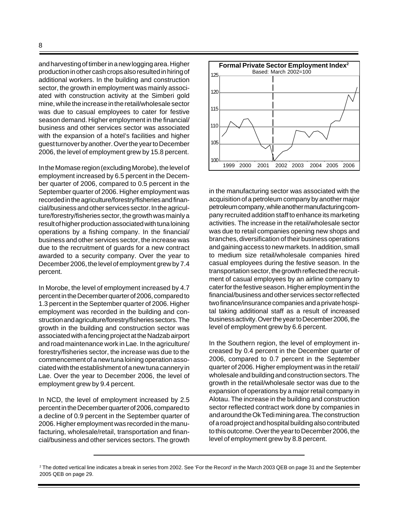and harvesting of timber in a new logging area. Higher production in other cash crops also resulted in hiring of additional workers. In the building and construction sector, the growth in employment was mainly associated with construction activity at the Simberi gold mine, while the increase in the retail/wholesale sector was due to casual employees to cater for festive season demand. Higher employment in the financial/ business and other services sector was associated with the expansion of a hotel's facilities and higher guest turnover by another. Over the year to December 2006, the level of employment grew by 15.8 percent.

In the Momase region (excluding Morobe), the level of employment increased by 6.5 percent in the December quarter of 2006, compared to 0.5 percent in the September quarter of 2006. Higher employment was recorded in the agriculture/forestry/fisheries and financial/business and other services sector. In the agriculture/forestry/fisheries sector, the growth was mainly a result of higher production associated with tuna loining operations by a fishing company. In the financial/ business and other services sector, the increase was due to the recruitment of guards for a new contract awarded to a security company. Over the year to December 2006, the level of employment grew by 7.4 percent.

In Morobe, the level of employment increased by 4.7 percent in the December quarter of 2006, compared to 1.3 percent in the September quarter of 2006. Higher employment was recorded in the building and construction and agriculture/forestry/fisheries sectors. The growth in the building and construction sector was associated with a fencing project at the Nadzab airport and road maintenance work in Lae. In the agriculture/ forestry/fisheries sector, the increase was due to the commencement of a new tuna loining operation associated with the establishment of a new tuna cannery in Lae. Over the year to December 2006, the level of employment grew by 9.4 percent.

In NCD, the level of employment increased by 2.5 percent in the December quarter of 2006, compared to a decline of 0.9 percent in the September quarter of 2006. Higher employment was recorded in the manufacturing, wholesale/retail, transportation and financial/business and other services sectors. The growth



in the manufacturing sector was associated with the acquisition of a petroleum company by another major petroleum company, while another manufacturing company recruited addition staff to enhance its marketing activities. The increase in the retail/wholesale sector was due to retail companies opening new shops and branches, diversification of their business operations and gaining access to new markets. In addition, small to medium size retail/wholesale companies hired casual employees during the festive season. In the transportation sector, the growth reflected the recruitment of casual employees by an airline company to cater for the festive season. Higher employment in the financial/business and other services sector reflected two finance/insurance companies and a private hospital taking additional staff as a result of increased business activity. Over the year to December 2006, the level of employment grew by 6.6 percent.

In the Southern region, the level of employment increased by 0.4 percent in the December quarter of 2006, compared to 0.7 percent in the September quarter of 2006. Higher employment was in the retail/ wholesale and building and construction sectors. The growth in the retail/wholesale sector was due to the expansion of operations by a major retail company in Alotau. The increase in the building and construction sector reflected contract work done by companies in and around the Ok Tedi mining area. The construction of a road project and hospital building also contributed to this outcome. Over the year to December 2006, the level of employment grew by 8.8 percent.

<sup>2</sup> The dotted vertical line indicates a break in series from 2002. See 'For the Record' in the March 2003 QEB on page 31 and the September 2005 QEB on page 29.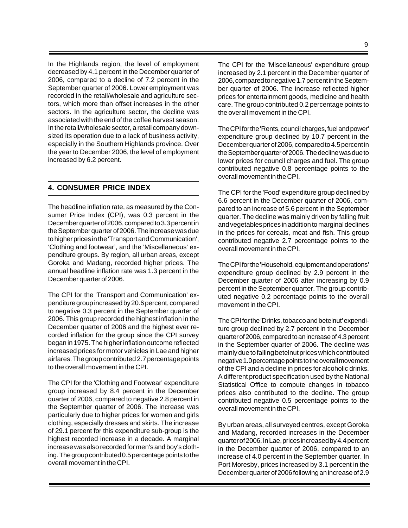In the Highlands region, the level of employment decreased by 4.1 percent in the December quarter of 2006, compared to a decline of 7.2 percent in the September quarter of 2006. Lower employment was recorded in the retail/wholesale and agriculture sectors, which more than offset increases in the other sectors. In the agriculture sector, the decline was associated with the end of the coffee harvest season. In the retail/wholesale sector, a retail company downsized its operation due to a lack of business activity, especially in the Southern Highlands province. Over the year to December 2006, the level of employment increased by 6.2 percent.

## **4. CONSUMER PRICE INDEX**

The headline inflation rate, as measured by the Consumer Price Index (CPI), was 0.3 percent in the December quarter of 2006, compared to 3.3 percent in the September quarter of 2006. The increase was due to higher prices in the 'Transport and Communication', 'Clothing and footwear', and the 'Miscellaneous' expenditure groups. By region, all urban areas, except Goroka and Madang, recorded higher prices. The annual headline inflation rate was 1.3 percent in the December quarter of 2006.

The CPI for the 'Transport and Communication' expenditure group increased by 20.6 percent, compared to negative 0.3 percent in the September quarter of 2006. This group recorded the highest inflation in the December quarter of 2006 and the highest ever recorded inflation for the group since the CPI survey began in 1975. The higher inflation outcome reflected increased prices for motor vehicles in Lae and higher airfares. The group contributed 2.7 percentage points to the overall movement in the CPI.

The CPI for the 'Clothing and Footwear' expenditure group increased by 8.4 percent in the December quarter of 2006, compared to negative 2.8 percent in the September quarter of 2006. The increase was particularly due to higher prices for women and girls clothing, especially dresses and skirts. The increase of 29.1 percent for this expenditure sub-group is the highest recorded increase in a decade. A marginal increase was also recorded for men's and boy's clothing. The group contributed 0.5 percentage points to the overall movement in the CPI.

The CPI for the 'Miscellaneous' expenditure group increased by 2.1 percent in the December quarter of 2006, compared to negative 1.7 percent in the September quarter of 2006. The increase reflected higher prices for entertainment goods, medicine and health care. The group contributed 0.2 percentage points to the overall movement in the CPI.

The CPI for the 'Rents, council charges, fuel and power' expenditure group declined by 10.7 percent in the December quarter of 2006, compared to 4.5 percent in the September quarter of 2006. The decline was due to lower prices for council charges and fuel. The group contributed negative 0.8 percentage points to the overall movement in the CPI.

The CPI for the 'Food' expenditure group declined by 6.6 percent in the December quarter of 2006, compared to an increase of 5.6 percent in the September quarter. The decline was mainly driven by falling fruit and vegetables prices in addition to marginal declines in the prices for cereals, meat and fish. This group contributed negative 2.7 percentage points to the overall movement in the CPI.

The CPI for the 'Household, equipment and operations' expenditure group declined by 2.9 percent in the December quarter of 2006 after increasing by 0.9 percent in the September quarter. The group contributed negative 0.2 percentage points to the overall movement in the CPI.

The CPI for the 'Drinks, tobacco and betelnut' expenditure group declined by 2.7 percent in the December quarter of 2006, compared to an increase of 4.3 percent in the September quarter of 2006. The decline was mainly due to falling betelnut prices which contributed negative 1.0 percentage points to the overall movement of the CPI and a decline in prices for alcoholic drinks. A different product specification used by the National Statistical Office to compute changes in tobacco prices also contributed to the decline. The group contributed negative 0.5 percentage points to the overall movement in the CPI.

By urban areas, all surveyed centres, except Goroka and Madang, recorded increases in the December quarter of 2006. In Lae, prices increased by 4.4 percent in the December quarter of 2006, compared to an increase of 4.0 percent in the September quarter. In Port Moresby, prices increased by 3.1 percent in the December quarter of 2006 following an increase of 2.9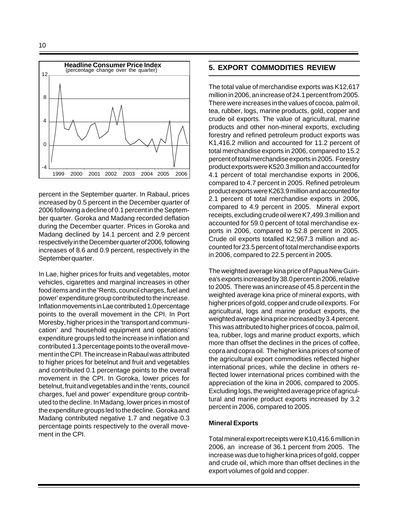

percent in the September quarter. In Rabaul, prices increased by 0.5 percent in the December quarter of 2006 following a decline of 0.1 percent in the September quarter. Goroka and Madang recorded deflation during the December quarter. Prices in Goroka and Madang declined by 14.1 percent and 2.9 percent respectively in the December quarter of 2006, following increases of 8.6 and 0.9 percent, respectively in the September quarter.

In Lae, higher prices for fruits and vegetables, motor vehicles, cigarettes and marginal increases in other food items and in the 'Rents, council charges, fuel and power' expenditure group contributed to the increase. Inflation movements in Lae contributed 1.0 percentage points to the overall movement in the CPI. In Port Moresby, higher prices in the 'transport and communication' and 'household equipment and operations' expenditure groups led to the increase in inflation and contributed 1.3 percentage points to the overall movement in the CPI. The increase in Rabaul was attributed to higher prices for betelnut and fruit and vegetables and contributed 0.1 percentage points to the overall movement in the CPI. In Goroka, lower prices for betelnut, fruit and vegetables and in the 'rents, council charges, fuel and power' expenditure group contributed to the decline. In Madang, lower prices in most of the expenditure groups led to the decline. Goroka and Madang contributed negative 1.7 and negative 0.3 percentage points respectively to the overall movement in the CPI.

### **5. EXPORT COMMODITIES REVIEW**

The total value of merchandise exports was K12,617 million in 2006, an increase of 24.1 percent from 2005. There were increases in the values of cocoa, palm oil, tea, rubber, logs, marine products, gold, copper and crude oil exports. The value of agricultural, marine products and other non-mineral exports, excluding forestry and refined petroleum product exports was K1,416.2 million and accounted for 11.2 percent of total merchandise exports in 2006, compared to 15.2 percent of total merchandise exports in 2005. Forestry product exports were K520.3 million and accounted for 4.1 percent of total merchandise exports in 2006, compared to 4.7 percent in 2005. Refined petroleum product exports were K263.9 million and accounted for 2.1 percent of total merchandise exports in 2006, compared to 4.9 percent in 2005. Mineral export receipts, excluding crude oil were K7,499.3 million and accounted for 59.0 percent of total merchandise exports in 2006, compared to 52.8 percent in 2005. Crude oil exports totalled K2,967.3 million and accounted for 23.5 percent of total merchandise exports in 2006, compared to 22.5 percent in 2005.

The weighted average kina price of Papua New Guinea's exports increased by 38.0 percent in 2006, relative to 2005. There was an increase of 45.8 percent in the weighted average kina price of mineral exports, with higher prices of gold, copper and crude oil exports. For agricultural, logs and marine product exports, the weighted average kina price increased by 3.4 percent. This was attributed to higher prices of cocoa, palm oil, tea, rubber, logs and marine product exports, which more than offset the declines in the prices of coffee, copra and copra oil. The higher kina prices of some of the agricultural export commodities reflected higher international prices, while the decline in others reflected lower international prices combined with the appreciation of the kina in 2006, compared to 2005. Excluding logs, the weighted average price of agricultural and marine product exports increased by 3.2 percent in 2006, compared to 2005.

#### **Mineral Exports**

Total mineral export receipts were K10,416.6 million in 2006, an increase of 36.1 percent from 2005. The increase was due to higher kina prices of gold, copper and crude oil, which more than offset declines in the export volumes of gold and copper.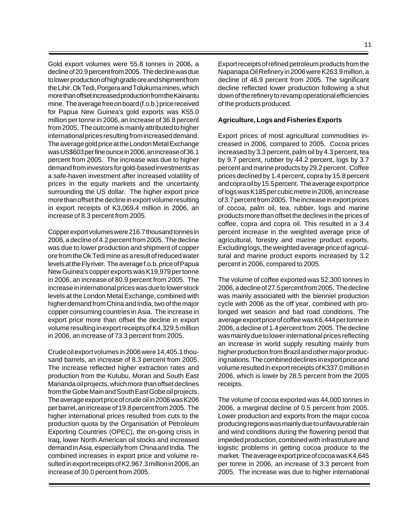Gold export volumes were 55.8 tonnes in 2006, a decline of 20.9 percent from 2005. The decline was due to lower production of high grade ore and shipment from the Lihir, Ok Tedi, Porgera and Tolukuma mines, which more than offset increased production from the Kainantu mine. The average free on board (f.o.b.) price received for Papua New Guinea's gold exports was K55.0 million per tonne in 2006, an increase of 36.8 percent from 2005. The outcome is mainly attributed to higher international prices resulting from increased demand. The average gold price at the London Metal Exchange was US\$603 per fine ounce in 2006, an increase of 36.1 percent from 2005. The increase was due to higher demand from investors for gold-based investments as a safe-haven investment after increased volatility of prices in the equity markets and the uncertainty surrounding the US dollar. The higher export price more than offset the decline in export volume resulting in export receipts of K3,069.4 million in 2006, an increase of 8.3 percent from 2005.

Copper export volumes were 216.7 thousand tonnes in 2006, a decline of 4.2 percent from 2005. The decline was due to lower production and shipment of copper ore from the Ok Tedi mine as a result of reduced water levels at the Fly river. The average f.o.b. price of Papua New Guinea's copper exports was K19,979 per tonne in 2006, an increase of 80.9 percent from 2005. The increase in international prices was due to lower stock levels at the London Metal Exchange, combined with higher demand from China and India, two of the major copper consuming countries in Asia. The increase in export price more than offset the decline in export volume resulting in export receipts of K4,329.5 million in 2006, an increase of 73.3 percent from 2005.

Crude oil export volumes in 2006 were 14,405.1 thousand barrels, an increase of 8.3 percent from 2005. The increase reflected higher extraction rates and production from the Kutubu, Moran and South East Mananda oil projects, which more than offset declines from the Gobe Main and South East Gobe oil projects. The average export price of crude oil in 2006 was K206 per barrel, an increase of 19.8 percent from 2005. The higher international prices resulted from cuts to the production quota by the Organisation of Petroleum Exporting Countries (OPEC), the on-going crisis in Iraq, lower North American oil stocks and increased demand in Asia, especially from China and India. The combined increases in export price and volume resulted in export receipts of K2,967.3 million in 2006, an increase of 30.0 percent from 2005.

Export receipts of refined petroleum products from the Napanapa Oil Refinery in 2006 were K263.9 million, a decline of 46.9 percent from 2005. The significant decline reflected lower production following a shut down of the refinery to revamp operational efficiencies of the products produced.

### **Agriculture, Logs and Fisheries Exports**

Export prices of most agricultural commodities increased in 2006, compared to 2005. Cocoa prices increased by 3.3 percent, palm oil by 4.3 percent, tea by 9.7 percent, rubber by 44.2 percent, logs by 3.7 percent and marine products by 29.2 percent. Coffee prices declined by 1.4 percent, copra by 15.8 percent and copra oil by 15.5 percent. The average export price of logs was K185 per cubic metre in 2006, an increase of 3.7 percent from 2005. The increase in export prices of cocoa, palm oil, tea, rubber, logs and marine products more than offset the declines in the prices of coffee, copra and copra oil. This resulted in a 3.4 percent increase in the weighted average price of agricultural, forestry and marine product exports. Excluding logs, the weighted average price of agricultural and marine product exports increased by 3.2 percent in 2006, compared to 2005.

The volume of coffee exported was 52,300 tonnes in 2006, a decline of 27.5 percent from 2005. The decline was mainly associated with the bienniel production cycle with 2006 as the off year, combined with prolonged wet season and bad road conditions. The average export price of coffee was K6,444 per tonne in 2006, a decline of 1.4 percent from 2005. The decline was mainly due to lower international prices reflecting an increase in world supply resulting mainly from higher production from Brazil and other major producing nations. The combined declines in export price and volume resulted in export receipts of K337.0 million in 2006, which is lower by 28.5 percent from the 2005 receipts.

The volume of cocoa exported was 44,000 tonnes in 2006, a marginal decline of 0.5 percent from 2005. Lower production and exports from the major cocoa producing regions was mainly due to unfavourable rain and wind conditions during the flowering period that impeded production, combined with infrastruture and logistic problems in getting cocoa produce to the market. The average export price of cocoa was K4,645 per tonne in 2006, an increase of 3.3 percent from 2005. The increase was due to higher international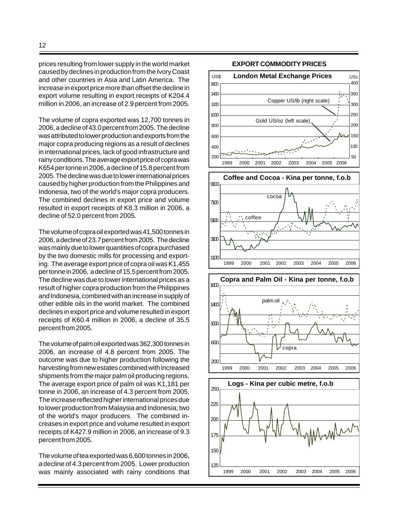prices resulting from lower supply in the world market caused by declines in production from the Ivory Coast and other countries in Asia and Latin America. The increase in export price more than offset the decline in export volume resulting in export receipts of K204.4 million in 2006, an increase of 2.9 percent from 2005.

The volume of copra exported was 12,700 tonnes in 2006, a decline of 43.0 percent from 2005. The decline was attributed to lower production and exports from the major copra producing regions as a result of declines in international prices, lack of good infrastructure and rainy conditions. The average export price of copra was K654 per tonne in 2006, a decline of 15.8 percent from 2005. The decline was due to lower international prices caused by higher production from the Philippines and Indonesia, two of the world's major copra producers. The combined declines in export price and volume resulted in export receipts of K8.3 million in 2006, a decline of 52.0 percent from 2005.

The volume of copra oil exported was 41,500 tonnes in 2006, a decline of 23.7 percent from 2005. The decline was mainly due to lower quantities of copra purchased by the two domestic mills for processing and exporting. The average export price of copra oil was K1,455 per tonne in 2006, a decline of 15.5 percent from 2005. The decline was due to lower international prices as a result of higher copra production from the Philippines and Indonesia, combined with an increase in supply of other edible oils in the world market. The combined declines in export price and volume resulted in export receipts of K60.4 million in 2006, a decline of 35.5 percent from 2005.

The volume of palm oil exported was 362,300 tonnes in 2006, an increase of 4.8 percent from 2005. The outcome was due to higher production following the harvesting from new estates combined with increased shipments from the major palm oil producing regions. The average export price of palm oil was K1,181 per tonne in 2006, an increase of 4.3 percent from 2005. The increase reflected higher international prices due to lower production from Malaysia and Indonesia, two of the world's major producers. The combined increases in export price and volume resulted in export receipts of K427.9 million in 2006, an increase of 9.3 percent from 2005.

The volume of tea exported was 6,600 tonnes in 2006, a decline of 4.3 percent from 2005. Lower production was mainly associated with rainy conditions that

#### **EXPORT COMMODITY PRICES**

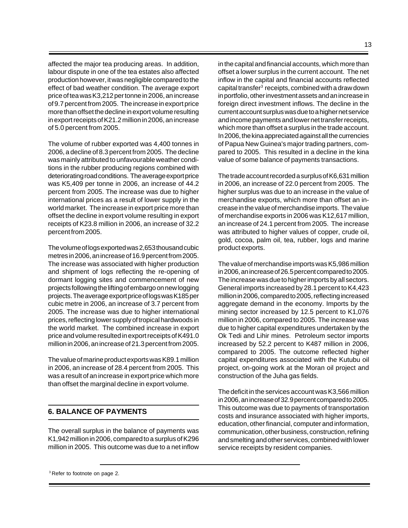affected the major tea producing areas. In addition, labour dispute in one of the tea estates also affected production however, it was negligible compared to the effect of bad weather condition. The average export price of tea was K3,212 per tonne in 2006, an increase of 9.7 percent from 2005. The increase in export price more than offset the decline in export volume resulting in export receipts of K21.2 million in 2006, an increase of 5.0 percent from 2005.

The volume of rubber exported was 4,400 tonnes in 2006, a decline of 8.3 percent from 2005. The decline was mainly attributed to unfavourable weather conditions in the rubber producing regions combined with deteriorating road conditions. The average export price was K5,409 per tonne in 2006, an increase of 44.2 percent from 2005. The increase was due to higher international prices as a result of lower supply in the world market. The increase in export price more than offset the decline in export volume resulting in export receipts of K23.8 million in 2006, an increase of 32.2 percent from 2005.

The volume of logs exported was 2,653 thousand cubic metres in 2006, an increase of 16.9 percent from 2005. The increase was associated with higher production and shipment of logs reflecting the re-opening of dormant logging sites and commencement of new projects following the lifting of embargo on new logging projects. The average export price of logs was K185 per cubic metre in 2006, an increase of 3.7 percent from 2005. The increase was due to higher international prices, reflecting lower supply of tropical hardwoods in the world market. The combined increase in export price and volume resulted in export receipts of K491.0 million in 2006, an increase of 21.3 percent from 2005.

The value of marine product exports was K89.1 million in 2006, an increase of 28.4 percent from 2005. This was a result of an increase in export price which more than offset the marginal decline in export volume.

## **6. BALANCE OF PAYMENTS**

The overall surplus in the balance of payments was K1,942 million in 2006, compared to a surplus of K296 million in 2005. This outcome was due to a net inflow

in the capital and financial accounts, which more than offset a lower surplus in the current account. The net inflow in the capital and financial accounts reflected capital transfer<sup>3</sup> receipts, combined with a draw down in portfolio, other investment assets and an increase in foreign direct investment inflows. The decline in the current account surplus was due to a higher net service and income payments and lower net transfer receipts, which more than offset a surplus in the trade account. In 2006, the kina appreciated against all the currencies of Papua New Guinea's major trading partners, compared to 2005. This resulted in a decline in the kina value of some balance of payments transactions.

The trade account recorded a surplus of K6,631 million in 2006, an increase of 22.0 percent from 2005. The higher surplus was due to an increase in the value of merchandise exports, which more than offset an increase in the value of merchandise imports. The value of merchandise exports in 2006 was K12,617 million, an increase of 24.1 percent from 2005. The increase was attributed to higher values of copper, crude oil, gold, cocoa, palm oil, tea, rubber, logs and marine product exports.

The value of merchandise imports was K5,986 million in 2006, an increase of 26.5 percent compared to 2005. The increase was due to higher imports by all sectors. General imports increased by 28.1 percent to K4,423 million in 2006, compared to 2005, reflecting increased aggregate demand in the economy. Imports by the mining sector increased by 12.5 percent to K1,076 million in 2006, compared to 2005. The increase was due to higher capital expenditures undertaken by the Ok Tedi and Lihir mines. Petroleum sector imports increased by 52.2 percent to K487 million in 2006, compared to 2005. The outcome reflected higher capital expenditures associated with the Kutubu oil project, on-going work at the Moran oil project and construction of the Juha gas fields.

The deficit in the services account was K3,566 million in 2006, an increase of 32.9 percent compared to 2005. This outcome was due to payments of transportation costs and insurance associated with higher imports, education, other financial, computer and information, communication, other business, construction, refining and smelting and other services, combined with lower service receipts by resident companies.

<sup>&</sup>lt;sup>3</sup> Refer to footnote on page 2.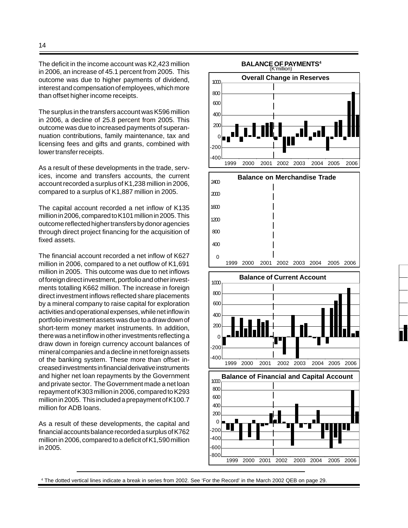The deficit in the income account was K2,423 million in 2006, an increase of 45.1 percent from 2005. This outcome was due to higher payments of dividend, interest and compensation of employees, which more than offset higher income receipts.

The surplus in the transfers account was K596 million in 2006, a decline of 25.8 percent from 2005. This outcome was due to increased payments of superannuation contributions, family maintenance, tax and licensing fees and gifts and grants, combined with lower transfer receipts.

As a result of these developments in the trade, services, income and transfers accounts, the current account recorded a surplus of K1,238 million in 2006, compared to a surplus of K1,887 million in 2005.

The capital account recorded a net inflow of K135 million in 2006, compared to K101 million in 2005. This outcome reflected higher transfers by donor agencies through direct project financing for the acquisition of fixed assets.

The financial account recorded a net inflow of K627 million in 2006, compared to a net outflow of K1,691 million in 2005. This outcome was due to net inflows of foreign direct investment, portfolio and other investments totalling K662 million. The increase in foreign direct investment inflows reflected share placements by a mineral company to raise capital for exploration activities and operational expenses, while net inflow in portfolio investment assets was due to a draw down of short-term money market instruments. In addition, there was a net inflow in other investments reflecting a draw down in foreign currency account balances of mineral companies and a decline in net foreign assets of the banking system. These more than offset increased investments in financial derivative instruments and higher net loan repayments by the Government and private sector. The Government made a net loan repayment of K303 million in 2006, compared to K293 million in 2005. This included a prepayment of K100.7 million for ADB loans.

As a result of these developments, the capital and financial accounts balance recorded a surplus of K762 million in 2006, compared to a deficit of K1,590 million in 2005.



4 The dotted vertical lines indicate a break in series from 2002. See 'For the Record' in the March 2002 QEB on page 29.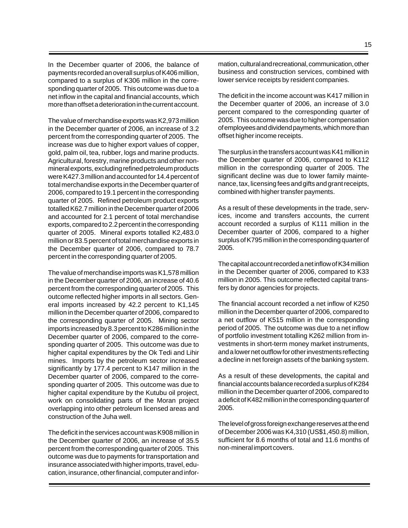In the December quarter of 2006, the balance of payments recorded an overall surplus of K406 million, compared to a surplus of K306 million in the corresponding quarter of 2005. This outcome was due to a net inflow in the capital and financial accounts, which more than offset a deterioration in the current account.

The value of merchandise exports was K2,973 million in the December quarter of 2006, an increase of 3.2 percent from the corresponding quarter of 2005. The increase was due to higher export values of copper, gold, palm oil, tea, rubber, logs and marine products. Agricultural, forestry, marine products and other nonmineral exports, excluding refined petroleum products were K427.3 million and accounted for 14.4 percent of total merchandise exports in the December quarter of 2006, compared to 19.1 percent in the corresponding quarter of 2005. Refined petroleum product exports totalled K62.7 million in the December quarter of 2006 and accounted for 2.1 percent of total merchandise exports, compared to 2.2 percent in the corresponding quarter of 2005. Mineral exports totalled K2,483.0 million or 83.5 percent of total merchandise exports in the December quarter of 2006, compared to 78.7 percent in the corresponding quarter of 2005.

The value of merchandise imports was K1,578 million in the December quarter of 2006, an increase of 40.6 percent from the corresponding quarter of 2005. This outcome reflected higher imports in all sectors. General imports increased by 42.2 percent to K1,145 million in the December quarter of 2006, compared to the corresponding quarter of 2005. Mining sector imports increased by 8.3 percent to K286 million in the December quarter of 2006, compared to the corresponding quarter of 2005. This outcome was due to higher capital expenditures by the Ok Tedi and Lihir mines. Imports by the petroleum sector increased significantly by 177.4 percent to K147 million in the December quarter of 2006, compared to the corresponding quarter of 2005. This outcome was due to higher capital expenditure by the Kutubu oil project, work on consolidating parts of the Moran project overlapping into other petroleum licensed areas and construction of the Juha well.

The deficit in the services account was K908 million in the December quarter of 2006, an increase of 35.5 percent from the corresponding quarter of 2005. This outcome was due to payments for transportation and insurance associated with higher imports, travel, education, insurance, other financial, computer and information, cultural and recreational, communication, other business and construction services, combined with lower service receipts by resident companies.

The deficit in the income account was K417 million in the December quarter of 2006, an increase of 3.0 percent compared to the corresponding quarter of 2005. This outcome was due to higher compensation of employees and dividend payments, which more than offset higher income receipts.

The surplus in the transfers account was K41 million in the December quarter of 2006, compared to K112 million in the corresponding quarter of 2005. The significant decline was due to lower family maintenance, tax, licensing fees and gifts and grant receipts, combined with higher transfer payments.

As a result of these developments in the trade, services, income and transfers accounts, the current account recorded a surplus of K111 million in the December quarter of 2006, compared to a higher surplus of K795 million in the corresponding quarter of 2005.

The capital account recorded a net inflow of K34 million in the December quarter of 2006, compared to K33 million in 2005. This outcome reflected capital transfers by donor agencies for projects.

The financial account recorded a net inflow of K250 million in the December quarter of 2006, compared to a net outflow of K515 million in the corresponding period of 2005. The outcome was due to a net inflow of portfolio investment totalling K262 million from investments in short-term money market instruments, and a lower net outflow for other investments reflecting a decline in net foreign assets of the banking system.

As a result of these developments, the capital and financial accounts balance recorded a surplus of K284 million in the December quarter of 2006, compared to a deficit of K482 million in the corresponding quarter of 2005.

The level of gross foreign exchange reserves at the end of December 2006 was K4,310 (US\$1,450.8) million, sufficient for 8.6 months of total and 11.6 months of non-mineral import covers.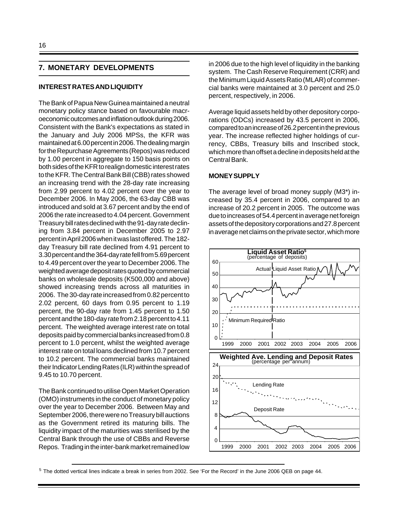### **7. MONETARY DEVELOPMENTS**

#### **INTEREST RATES AND LIQUIDITY**

The Bank of Papua New Guinea maintained a neutral monetary policy stance based on favourable macroeconomic outcomes and inflation outlook during 2006. Consistent with the Bank's expectations as stated in the January and July 2006 MPSs, the KFR was maintained at 6.00 percent in 2006. The dealing margin for the Repurchase Agreements (Repos) was reduced by 1.00 percent in aggregate to 150 basis points on both sides of the KFR to realign domestic interest rates to the KFR. The Central Bank Bill (CBB) rates showed an increasing trend with the 28-day rate increasing from 2.99 percent to 4.02 percent over the year to December 2006. In May 2006, the 63-day CBB was introduced and sold at 3.67 percent and by the end of 2006 the rate increased to 4.04 percent. Government Treasury bill rates declined with the 91-day rate declining from 3.84 percent in December 2005 to 2.97 percent in April 2006 when it was last offered. The 182 day Treasury bill rate declined from 4.91 percent to 3.30 percent and the 364-day rate fell from 5.69 percent to 4.49 percent over the year to December 2006. The weighted average deposit rates quoted by commercial banks on wholesale deposits (K500,000 and above) showed increasing trends across all maturities in 2006. The 30-day rate increased from 0.82 percent to 2.02 percent, 60 days from 0.95 percent to 1.19 percent, the 90-day rate from 1.45 percent to 1.50 percent and the 180-day rate from 2.18 percent to 4.11 percent. The weighted average interest rate on total deposits paid by commercial banks increased from 0.8 percent to 1.0 percent, whilst the weighted average interest rate on total loans declined from 10.7 percent to 10.2 percent. The commercial banks maintained their Indicator Lending Rates (ILR) within the spread of 9.45 to 10.70 percent.

The Bank continued to utilise Open Market Operation (OMO) instruments in the conduct of monetary policy over the year to December 2006. Between May and September 2006, there were no Treasury bill auctions as the Government retired its maturing bills. The liquidity impact of the maturities was sterilised by the Central Bank through the use of CBBs and Reverse Repos. Trading in the inter-bank market remained low in 2006 due to the high level of liquidity in the banking system. The Cash Reserve Requirement (CRR) and the Minimum Liquid Assets Ratio (MLAR) of commercial banks were maintained at 3.0 percent and 25.0 percent, respectively, in 2006.

Average liquid assets held by other depository corporations (ODCs) increased by 43.5 percent in 2006, compared to an increase of 26.2 percent in the previous year. The increase reflected higher holdings of currency, CBBs, Treasury bills and Inscribed stock, which more than offset a decline in deposits held at the Central Bank.

#### **MONEY SUPPLY**

The average level of broad money supply (M3\*) increased by 35.4 percent in 2006, compared to an increase of 20.2 percent in 2005. The outcome was due to increases of 54.4 percent in average net foreign assets of the depository corporations and 27.8 percent in average net claims on the private sector, which more



 $5$  The dotted vertical lines indicate a break in series from 2002. See 'For the Record' in the June 2006 QEB on page 44.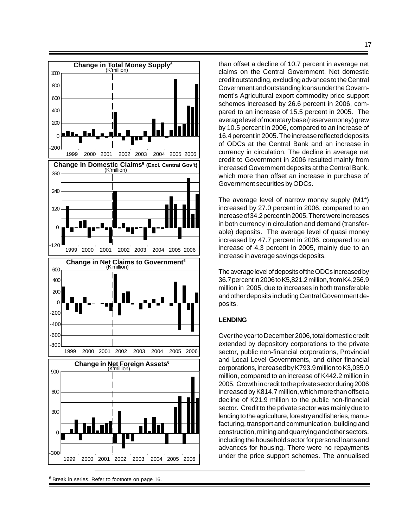

<sup>6</sup> Break in series. Refer to footnote on page 16.

than offset a decline of 10.7 percent in average net claims on the Central Government. Net domestic credit outstanding, excluding advances to the Central Government and outstanding loans under the Government's Agricultural export commodity price support schemes increased by 26.6 percent in 2006, compared to an increase of 15.5 percent in 2005. The average level of monetary base (reserve money) grew by 10.5 percent in 2006, compared to an increase of 16.4 percent in 2005. The increase reflected deposits of ODCs at the Central Bank and an increase in currency in circulation. The decline in average net credit to Government in 2006 resulted mainly from increased Government deposits at the Central Bank, which more than offset an increase in purchase of Government securities by ODCs.

The average level of narrow money supply (M1\*) increased by 27.0 percent in 2006, compared to an increase of 34.2 percent in 2005. There were increases in both currency in circulation and demand (transferable) deposits. The average level of quasi money increased by 47.7 percent in 2006, compared to an increase of 4.3 percent in 2005, mainly due to an increase in average savings deposits.

The average level of deposits of the ODCs increased by 36.7 percent in 2006 to K5,821.2 million, from K4,256.9 million in 2005, due to increases in both transferable and other deposits including Central Government deposits.

### **LENDING**

Over the year to December 2006, total domestic credit extended by depository corporations to the private sector, public non-financial corporations, Provincial and Local Level Governments, and other financial corporations, increased by K793.9 million to K3,035.0 million, compared to an increase of K442.2 million in 2005. Growth in credit to the private sector during 2006 increased by K814.7 million, which more than offset a decline of K21.9 million to the public non-financial sector. Credit to the private sector was mainly due to lending to the agriculture, forestry and fisheries, manufacturing, transport and communication, building and construction, mining and quarrying and other sectors, including the household sector for personal loans and advances for housing. There were no repayments under the price support schemes. The annualised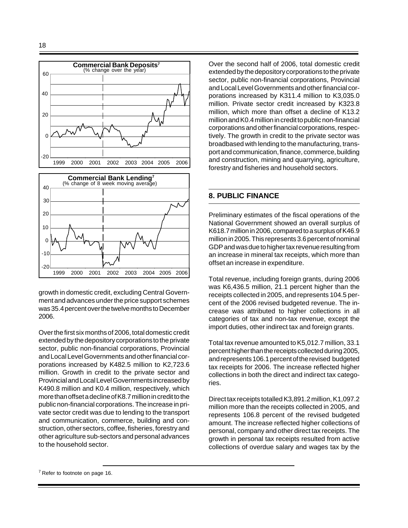

growth in domestic credit, excluding Central Government and advances under the price support schemes was 35.4 percent over the twelve months to December 2006.

1999 2000 2001 2002 2003 2004 2005 2006

Over the first six months of 2006, total domestic credit extended by the depository corporations to the private sector, public non-financial corporations, Provincial and Local Level Governments and other financial corporations increased by K482.5 million to K2,723.6 million. Growth in credit to the private sector and Provincial and Local Level Governments increased by K490.8 million and K0.4 million, respectively, which more than offset a decline of K8.7 million in credit to the public non-financial corporations. The increase in private sector credit was due to lending to the transport and communication, commerce, building and construction, other sectors, coffee, fisheries, forestry and other agriculture sub-sectors and personal advances to the household sector.

Over the second half of 2006, total domestic credit extended by the depository corporations to the private sector, public non-financial corporations, Provincial and Local Level Governments and other financial corporations increased by K311.4 million to K3,035.0 million. Private sector credit increased by K323.8 million, which more than offset a decline of K13.2 million and K0.4 million in credit to public non-financial corporations and other financial corporations, respectively. The growth in credit to the private sector was broadbased with lending to the manufacturing, transport and communication, finance, commerce, building and construction, mining and quarrying, agriculture, forestry and fisheries and household sectors.

## **8. PUBLIC FINANCE**

Preliminary estimates of the fiscal operations of the National Government showed an overall surplus of K618.7 million in 2006, compared to a surplus of K46.9 million in 2005. This represents 3.6 percent of nominal GDP and was due to higher tax revenue resulting from an increase in mineral tax receipts, which more than offset an increase in expenditure.

Total revenue, including foreign grants, during 2006 was K6,436.5 million, 21.1 percent higher than the receipts collected in 2005, and represents 104.5 percent of the 2006 revised budgeted revenue. The increase was attributed to higher collections in all categories of tax and non-tax revenue, except the import duties, other indirect tax and foreign grants.

Total tax revenue amounted to K5,012.7 million, 33.1 percent higher than the receipts collected during 2005, and represents 106.1 percent of the revised budgeted tax receipts for 2006. The increase reflected higher collections in both the direct and indirect tax categories.

Direct tax receipts totalled K3,891.2 million, K1,097.2 million more than the receipts collected in 2005, and represents 106.8 percent of the revised budgeted amount. The increase reflected higher collections of personal, company and other direct tax receipts. The growth in personal tax receipts resulted from active collections of overdue salary and wages tax by the

 $7$  Refer to footnote on page 16.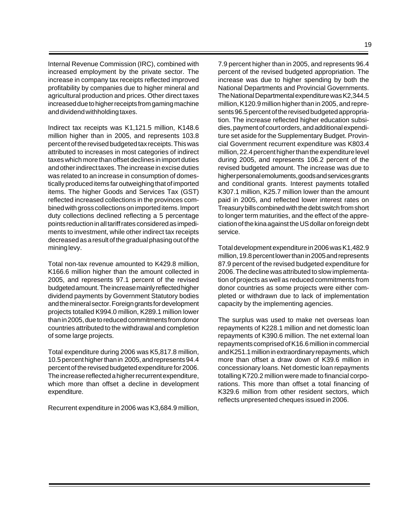Internal Revenue Commission (IRC), combined with increased employment by the private sector. The increase in company tax receipts reflected improved profitability by companies due to higher mineral and agricultural production and prices. Other direct taxes increased due to higher receipts from gaming machine and dividend withholding taxes.

Indirect tax receipts was K1,121.5 million, K148.6 million higher than in 2005, and represents 103.8 percent of the revised budgeted tax receipts. This was attributed to increases in most categories of indirect taxes which more than offset declines in import duties and other indirect taxes. The increase in excise duties was related to an increase in consumption of domestically produced items far outweighing that of imported items. The higher Goods and Services Tax (GST) reflected increased collections in the provinces combined with gross collections on imported items. Import duty collections declined reflecting a 5 percentage points reduction in all tariff rates considered as impediments to investment, while other indirect tax receipts decreased as a result of the gradual phasing out of the mining levy.

Total non-tax revenue amounted to K429.8 million, K166.6 million higher than the amount collected in 2005, and represents 97.1 percent of the revised budgeted amount. The increase mainly reflected higher dividend payments by Government Statutory bodies and the mineral sector. Foreign grants for development projects totalled K994.0 million, K289.1 million lower than in 2005, due to reduced commitments from donor countries attributed to the withdrawal and completion of some large projects.

Total expenditure during 2006 was K5,817.8 million, 10.5 percent higher than in 2005, and represents 94.4 percent of the revised budgeted expenditure for 2006. The increase reflected a higher recurrent expenditure, which more than offset a decline in development expenditure.

Recurrent expenditure in 2006 was K3,684.9 million,

7.9 percent higher than in 2005, and represents 96.4 percent of the revised budgeted appropriation. The increase was due to higher spending by both the National Departments and Provincial Governments. The National Departmental expenditure was K2,344.5 million, K120.9 million higher than in 2005, and represents 96.5 percent of the revised budgeted appropriation. The increase reflected higher education subsidies, payment of court orders, and additional expenditure set aside for the Supplementary Budget. Provincial Government recurrent expenditure was K803.4 million, 22.4 percent higher than the expenditure level during 2005, and represents 106.2 percent of the revised budgeted amount. The increase was due to higher personal emoluments, goods and services grants and conditional grants. Interest payments totalled K307.1 million, K25.7 million lower than the amount paid in 2005, and reflected lower interest rates on Treasury bills combined with the debt switch from short to longer term maturities, and the effect of the appreciation of the kina against the US dollar on foreign debt

Total development expenditure in 2006 was K1,482.9 million, 19.8 percent lower than in 2005 and represents 87.9 percent of the revised budgeted expenditure for 2006. The decline was attributed to slow implementation of projects as well as reduced commitments from donor countries as some projects were either completed or withdrawn due to lack of implementation capacity by the implementing agencies.

service.

The surplus was used to make net overseas loan repayments of K228.1 million and net domestic loan repayments of K390.6 million. The net external loan repayments comprised of K16.6 million in commercial and K251.1 million in extraordinary repayments, which more than offset a draw down of K39.6 million in concessionary loans. Net domestic loan repayments totalling K720.2 million were made to financial corporations. This more than offset a total financing of K329.6 million from other resident sectors, which reflects unpresented cheques issued in 2006.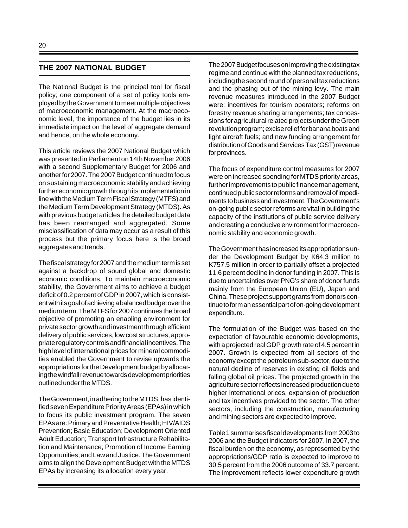### **THE 2007 NATIONAL BUDGET**

The National Budget is the principal tool for fiscal policy; one component of a set of policy tools employed by the Government to meet multiple objectives of macroeconomic management. At the macroeconomic level, the importance of the budget lies in its immediate impact on the level of aggregate demand and hence, on the whole economy.

This article reviews the 2007 National Budget which was presented in Parliament on 14th November 2006 with a second Supplementary Budget for 2006 and another for 2007. The 2007 Budget continued to focus on sustaining macroeconomic stability and achieving further economic growth through its implementation in line with the Medium Term Fiscal Strategy (MTFS) and the Medium Term Development Strategy (MTDS). As with previous budget articles the detailed budget data has been rearranged and aggregated. Some misclassification of data may occur as a result of this process but the primary focus here is the broad aggregates and trends.

The fiscal strategy for 2007 and the medium term is set against a backdrop of sound global and domestic economic conditions. To maintain macroeconomic stability, the Government aims to achieve a budget deficit of 0.2 percent of GDP in 2007, which is consistent with its goal of achieving a balanced budget over the medium term. The MTFS for 2007 continues the broad objective of promoting an enabling environment for private sector growth and investment through efficient delivery of public services, low cost structures, appropriate regulatory controls and financial incentives. The high level of international prices for mineral commodities enabled the Government to revise upwards the appropriations for the Development budget by allocating the windfall revenue towards development priorities outlined under the MTDS.

The Government, in adhering to the MTDS, has identified seven Expenditure Priority Areas (EPAs) in which to focus its public investment program. The seven EPAs are: Primary and Preventative Health; HIV/AIDS Prevention; Basic Education; Development Oriented Adult Education; Transport Infrastructure Rehabilitation and Maintenance; Promotion of Income Earning Opportunities; and Law and Justice. The Government aims to align the Development Budget with the MTDS EPAs by increasing its allocation every year.

The 2007 Budget focuses on improving the existing tax regime and continue with the planned tax reductions, including the second round of personal tax reductions and the phasing out of the mining levy. The main revenue measures introduced in the 2007 Budget were: incentives for tourism operators; reforms on forestry revenue sharing arrangements; tax concessions for agricultural related projects under the Green revolution program; excise relief for banana boats and light aircraft fuels; and new funding arrangement for distribution of Goods and Services Tax (GST) revenue for provinces.

The focus of expenditure control measures for 2007 were on increased spending for MTDS priority areas, further improvements to public finance management, continued public sector reforms and removal of impediments to business and investment. The Government's on-going public sector reforms are vital in building the capacity of the institutions of public service delivery and creating a conducive environment for macroeconomic stability and economic growth.

The Government has increased its appropriations under the Development Budget by K64.3 million to K757.5 million in order to partially offset a projected 11.6 percent decline in donor funding in 2007. This is due to uncertainties over PNG's share of donor funds mainly from the European Union (EU), Japan and China. These project support grants from donors continue to form an essential part of on-going development expenditure.

The formulation of the Budget was based on the expectation of favourable economic developments, with a projected real GDP growth rate of 4.5 percent in 2007. Growth is expected from all sectors of the economy except the petroleum sub-sector, due to the natural decline of reserves in existing oil fields and falling global oil prices. The projected growth in the agriculture sector reflects increased production due to higher international prices, expansion of production and tax incentives provided to the sector. The other sectors, including the construction, manufacturing and mining sectors are expected to improve.

Table 1 summarises fiscal developments from 2003 to 2006 and the Budget indicators for 2007. In 2007, the fiscal burden on the economy, as represented by the appropriations/GDP ratio is expected to improve to 30.5 percent from the 2006 outcome of 33.7 percent. The improvement reflects lower expenditure growth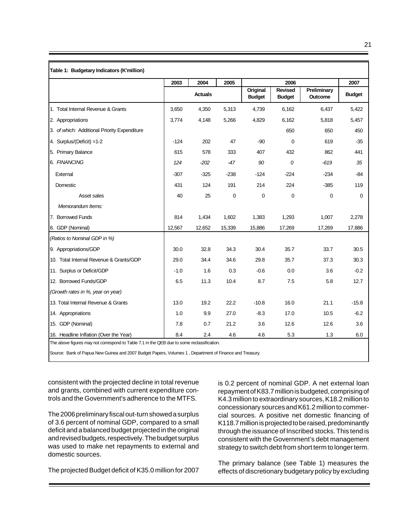|                                              |        | 2003<br>2004<br>2005 |             |                           | 2006                            |                        |                       |  |
|----------------------------------------------|--------|----------------------|-------------|---------------------------|---------------------------------|------------------------|-----------------------|--|
|                                              |        | <b>Actuals</b>       |             | Original<br><b>Budget</b> | <b>Revised</b><br><b>Budget</b> | Preliminary<br>Outcome | 2007<br><b>Budget</b> |  |
| 1. Total Internal Revenue & Grants           | 3,650  | 4,350                | 5,313       | 4,739                     | 6,162                           | 6,437                  | 5,422                 |  |
| 2. Appropriations                            | 3,774  | 4,148                | 5,266       | 4,829                     | 6,162                           | 5,818                  | 5,457                 |  |
| 3. of which: Additional Priority Expenditure |        |                      |             |                           | 650                             | 650                    | 450                   |  |
| 4. Surplus/(Deficit) =1-2                    | $-124$ | 202                  | 47          | $-90$                     | 0                               | 619                    | $-35$                 |  |
| 5. Primary Balance                           | 615    | 578                  | 333         | 407                       | 432                             | 862                    | 441                   |  |
| 6. FINANCING                                 | 124    | $-202$               | -47         | 90                        | 0                               | -619                   | 35                    |  |
| External                                     | $-307$ | $-325$               | $-238$      | $-124$                    | $-224$                          | $-234$                 | -84                   |  |
| Domestic                                     | 431    | 124                  | 191         | 214                       | 224                             | $-385$                 | 119                   |  |
| Asset sales                                  | 40     | 25                   | $\mathbf 0$ | 0                         | 0                               | 0                      | 0                     |  |
| Memorandum Items:                            |        |                      |             |                           |                                 |                        |                       |  |
| 7. Borrowed Funds                            | 814    | 1,434                | 1,602       | 1,383                     | 1,293                           | 1,007                  | 2,278                 |  |
| 8. GDP (Nominal)                             | 12,567 | 12,652               | 15,339      | 15,886                    | 17,269                          | 17,269                 | 17,886                |  |
| (Ratios to Nominal GDP in %)                 |        |                      |             |                           |                                 |                        |                       |  |
| 9. Appropriations/GDP                        | 30.0   | 32.8                 | 34.3        | 30.4                      | 35.7                            | 33.7                   | 30.5                  |  |
| 10. Total Internal Revenue & Grants/GDP      | 29.0   | 34.4                 | 34.6        | 29.8                      | 35.7                            | 37.3                   | 30.3                  |  |
| 11. Surplus or Deficit/GDP                   | $-1.0$ | 1.6                  | 0.3         | $-0.6$                    | 0.0                             | 3.6                    | $-0.2$                |  |
| 12. Borrowed Funds/GDP                       | 6.5    | 11.3                 | 10.4        | 8.7                       | 7.5                             | 5.8                    | 12.7                  |  |
| (Growth rates in %, year on year)            |        |                      |             |                           |                                 |                        |                       |  |
| 13. Total Internal Revenue & Grants          | 13.0   | 19.2                 | 22.2        | $-10.8$                   | 16.0                            | 21.1                   | $-15.8$               |  |
| 14. Appropriations                           | 1.0    | 9.9                  | 27.0        | $-8.3$                    | 17.0                            | 10.5                   | $-6.2$                |  |
| 15. GDP (Nominal)                            | 7.8    | 0.7                  | 21.2        | 3.6                       | 12.6                            | 12.6                   | 3.6                   |  |
| 16. Headline Inflation (Over the Year)       | 8.4    | 2.4                  | 4.6         | 4.6                       | 5.3                             | 1.3                    | 6.0                   |  |

consistent with the projected decline in total revenue and grants, combined with current expenditure controls and the Government's adherence to the MTFS.

The 2006 preliminary fiscal out-turn showed a surplus of 3.6 percent of nominal GDP, compared to a small deficit and a balanced budget projected in the original and revised budgets, respectively. The budget surplus was used to make net repayments to external and domestic sources.

The projected Budget deficit of K35.0 million for 2007

is 0.2 percent of nominal GDP. A net external loan repayment of K83.7 million is budgeted, comprising of K4.3 million to extraordinary sources, K18.2 million to concessionary sources and K61.2 million to commercial sources. A positive net domestic financing of K118.7 million is projected to be raised, predominantly through the issuance of Inscribed stocks. This tend is consistent with the Government's debt management strategy to switch debt from short term to longer term.

The primary balance (see Table 1) measures the effects of discretionary budgetary policy by excluding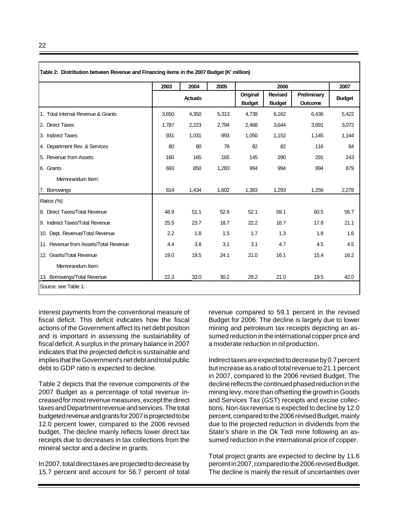|                                       | 2003  | 2004           | 2005  |               | 2007           |             |               |
|---------------------------------------|-------|----------------|-------|---------------|----------------|-------------|---------------|
|                                       |       | <b>Actuals</b> |       | Original      | <b>Revised</b> | Preliminary | <b>Budget</b> |
|                                       |       |                |       | <b>Budget</b> | <b>Budget</b>  | Outcome     |               |
| 1. Total Internal Revenue & Grants    | 3,650 | 4,350          | 5,313 | 4,739         | 6.162          | 6,436       | 5,422         |
| 2. Direct Taxes                       | 1,787 | 2,223          | 2,794 | 2,468         | 3,644          | 3,891       | 3,072         |
| 3. Indirect Taxes                     | 931   | 1,031          | 993   | 1,050         | 1,152          | 1,145       | 1,144         |
| 4. Department Rev. & Services         | 80    | 80             | 78    | 82            | 82             | 116         | 84            |
| 5. Revenue from Assets                | 160   | 165            | 165   | 145           | 290            | 291         | 243           |
| 6. Grants                             | 693   | 850            | 1,283 | 994           | 994            | 994         | 879           |
| Memorandum Item:                      |       |                |       |               |                |             |               |
| 7. Borrowings                         | 814   | 1,434          | 1,602 | 1,383         | 1,293          | 1,256       | 2,278         |
| Ratios (%)                            |       |                |       |               |                |             |               |
| 8. Direct Taxes/Total Revenue         | 48.9  | 51.1           | 52.6  | 52.1          | 59.1           | 60.5        | 56.7          |
| 9. Indirect Taxes/Total Revenue       | 25.5  | 23.7           | 18.7  | 22.2          | 18.7           | 17.8        | 21.1          |
| 10. Dept. Revenue/Total Revenue       | 2.2   | 1.8            | 1.5   | 1.7           | 1.3            | 1.8         | 1.6           |
| 11. Revenue from Assets/Total Revenue | 4.4   | 3.8            | 3.1   | 3.1           | 4.7            | 4.5         | 4.5           |
| 12. Grants/Total Revenue              | 19.0  | 19.5           | 24.1  | 21.0          | 16.1           | 15.4        | 16.2          |
| Memorandum Item:                      |       |                |       |               |                |             |               |
| 13. Borrowings/Total Revenue          | 22.3  | 33.0           | 30.2  | 29.2          | 21.0           | 19.5        | 42.0          |

interest payments from the conventional measure of fiscal deficit. This deficit indicates how the fiscal actions of the Government affect its net debt position and is important in assessing the sustainability of fiscal deficit. A surplus in the primary balance in 2007 indicates that the projected deficit is sustainable and implies that the Government's net debt and total public debt to GDP ratio is expected to decline.

Table 2 depicts that the revenue components of the 2007 Budget as a percentage of total revenue increased for most revenue measures, except the direct taxes and Department revenue and services. The total budgeted revenue and grants for 2007 is projected to be 12.0 percent lower, compared to the 2006 revised budget. The decline mainly reflects lower direct tax receipts due to decreases in tax collections from the mineral sector and a decline in grants.

In 2007, total direct taxes are projected to decrease by 15.7 percent and account for 56.7 percent of total revenue compared to 59.1 percent in the revised Budget for 2006. The decline is largely due to lower mining and petroleum tax receipts depicting an assumed reduction in the international copper price and a moderate reduction in oil production.

Indirect taxes are expected to decrease by 0.7 percent but increase as a ratio of total revenue to 21.1 percent in 2007, compared to the 2006 revised Budget. The decline reflects the continued phased reduction in the mining levy, more than offsetting the growth in Goods and Services Tax (GST) receipts and excise collections. Non-tax revenue is expected to decline by 12.0 percent, compared to the 2006 revised Budget, mainly due to the projected reduction in dividends from the State's share in the Ok Tedi mine following an assumed reduction in the international price of copper.

Total project grants are expected to decline by 11.6 percent in 2007, compared to the 2006 revised Budget. The decline is mainly the result of uncertainties over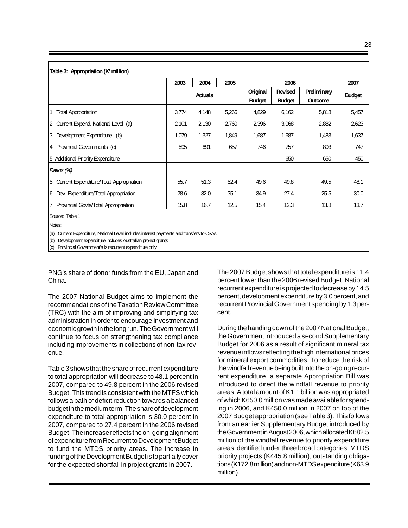23

|                                                                                                                        | 2005<br>2004<br>2003<br><b>Actuals</b> |       |       |                           | 2007                            |                               |               |
|------------------------------------------------------------------------------------------------------------------------|----------------------------------------|-------|-------|---------------------------|---------------------------------|-------------------------------|---------------|
|                                                                                                                        |                                        |       |       | Original<br><b>Budget</b> | <b>Revised</b><br><b>Budget</b> | Preliminary<br><b>Outcome</b> | <b>Budget</b> |
| 1. Total Appropriation                                                                                                 | 3,774                                  | 4,148 | 5,266 | 4,829                     | 6,162                           | 5,818                         | 5,457         |
| 2. Current Expend. National Level (a)                                                                                  | 2,101                                  | 2,130 | 2,760 | 2,396                     | 3,068                           | 2,882                         | 2,623         |
| 3. Development Expenditure (b)                                                                                         | 1,079                                  | 1,327 | 1,849 | 1,687                     | 1,687                           | 1,483                         | 1,637         |
| 4. Provincial Governments (c)                                                                                          | 595                                    | 691   | 657   | 746                       | 757                             | 803                           | 747           |
| 5. Additional Priority Expenditure                                                                                     |                                        |       |       |                           | 650                             | 650                           | 450           |
| Ratios (%)                                                                                                             |                                        |       |       |                           |                                 |                               |               |
| 5. Current Expenditure/Total Appropriation                                                                             | 55.7                                   | 51.3  | 52.4  | 49.6                      | 49.8                            | 49.5                          | 48.1          |
| 6. Dev. Expenditure/Total Appropriation                                                                                | 28.6                                   | 32.0  | 35.1  | 34.9                      | 27.4                            | 25.5                          | 30.0          |
| 7. Provincial Govts/Total Appropriation                                                                                | 15.8                                   | 16.7  | 12.5  | 15.4                      | 12.3                            | 13.8                          | 13.7          |
| Source: Table 1<br>Notes:<br>(a) Current Expenditure, National Level includes interest payments and transfers to CSAs. |                                        |       |       |                           |                                 |                               |               |

(b) Development expenditure includes Australian project grants

(c) Provincial Government's is recurrent expenditure only.

PNG's share of donor funds from the EU, Japan and China.

The 2007 National Budget aims to implement the recommendations of the Taxation Review Committee (TRC) with the aim of improving and simplifying tax administration in order to encourage investment and economic growth in the long run. The Government will continue to focus on strengthening tax compliance including improvements in collections of non-tax revenue.

Table 3 shows that the share of recurrent expenditure to total appropriation will decrease to 48.1 percent in 2007, compared to 49.8 percent in the 2006 revised Budget. This trend is consistent with the MTFS which follows a path of deficit reduction towards a balanced budget in the medium term. The share of development expenditure to total appropriation is 30.0 percent in 2007, compared to 27.4 percent in the 2006 revised Budget. The increase reflects the on-going alignment of expenditure from Recurrent to Development Budget to fund the MTDS priority areas. The increase in funding of the Development Budget is to partially cover for the expected shortfall in project grants in 2007.

The 2007 Budget shows that total expenditure is 11.4 percent lower than the 2006 revised Budget. National recurrent expenditure is projected to decrease by 14.5 percent, development expenditure by 3.0 percent, and recurrent Provincial Government spending by 1.3 percent.

During the handing down of the 2007 National Budget, the Government introduced a second Supplementary Budget for 2006 as a result of significant mineral tax revenue inflows reflecting the high international prices for mineral export commodities. To reduce the risk of the windfall revenue being built into the on-going recurrent expenditure, a separate Appropriation Bill was introduced to direct the windfall revenue to priority areas. A total amount of K1.1 billion was appropriated of which K650.0 million was made available for spending in 2006, and K450.0 million in 2007 on top of the 2007 Budget appropriation (see Table 3). This follows from an earlier Supplementary Budget introduced by the Government in August 2006, which allocated K682.5 million of the windfall revenue to priority expenditure areas identified under three broad categories: MTDS priority projects (K445.8 million), outstanding obligations (K172.8 million) and non-MTDS expenditure (K63.9 million).